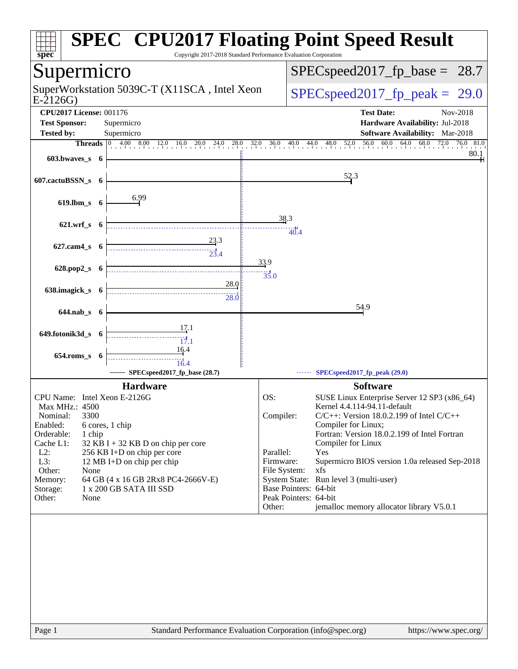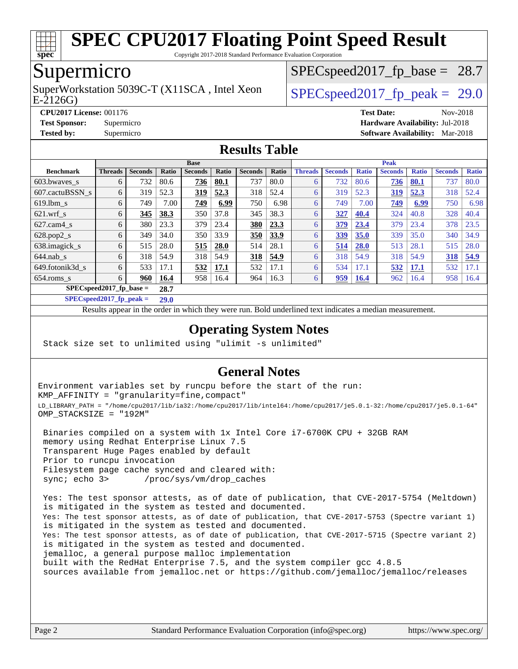

Copyright 2017-2018 Standard Performance Evaluation Corporation

## Supermicro

E-2126G) SuperWorkstation 5039C-T (X11SCA, Intel Xeon  $\big|$  SPECspeed2017 fp\_peak = 29.0

 $SPECspeed2017<sub>fp</sub> base = 28.7$ 

**[CPU2017 License:](http://www.spec.org/auto/cpu2017/Docs/result-fields.html#CPU2017License)** 001176 **[Test Date:](http://www.spec.org/auto/cpu2017/Docs/result-fields.html#TestDate)** Nov-2018

**[Test Sponsor:](http://www.spec.org/auto/cpu2017/Docs/result-fields.html#TestSponsor)** Supermicro **[Hardware Availability:](http://www.spec.org/auto/cpu2017/Docs/result-fields.html#HardwareAvailability)** Jul-2018

**[Tested by:](http://www.spec.org/auto/cpu2017/Docs/result-fields.html#Testedby)** Supermicro **[Software Availability:](http://www.spec.org/auto/cpu2017/Docs/result-fields.html#SoftwareAvailability)** Mar-2018

#### **[Results Table](http://www.spec.org/auto/cpu2017/Docs/result-fields.html#ResultsTable)**

|                           | <b>Base</b>    |                |              |                |              |                |       | <b>Peak</b>    |                |              |                |              |                |              |
|---------------------------|----------------|----------------|--------------|----------------|--------------|----------------|-------|----------------|----------------|--------------|----------------|--------------|----------------|--------------|
| <b>Benchmark</b>          | <b>Threads</b> | <b>Seconds</b> | <b>Ratio</b> | <b>Seconds</b> | <b>Ratio</b> | <b>Seconds</b> | Ratio | <b>Threads</b> | <b>Seconds</b> | <b>Ratio</b> | <b>Seconds</b> | <b>Ratio</b> | <b>Seconds</b> | <b>Ratio</b> |
| 603.bwaves_s              | 6              | 732            | 80.6         | 736            | 80.1         | 737            | 80.0  | 6              | 732            | 80.6         | 736            | 80.1         | 737            | 80.0         |
| 607.cactuBSSN s           | 6              | 319            | 52.3         | 319            | 52.3         | 318            | 52.4  | 6              | 319            | 52.3         | 319            | 52.3         | 318            | 52.4         |
| $619.1$ bm s              | 6              | 749            | 7.00         | 749            | 6.99         | 750            | 6.98  | 6              | 749            | 7.00         | 749            | 6.99         | 750            | 6.98         |
| $621.wrf$ s               | 6              | 345            | 38.3         | 350            | 37.8         | 345            | 38.3  | 6              | 327            | 40.4         | 324            | 40.8         | 328            | 40.4         |
| $627.cam4_s$              | 6              | 380            | 23.3         | 379            | 23.4         | 380            | 23.3  | 6              | 379            | 23.4         | 379            | 23.4         | 378            | 23.5         |
| $628.pop2_s$              | 6              | 349            | 34.0         | 350            | 33.9         | 350            | 33.9  | 6              | 339            | 35.0         | 339            | 35.0         | 340            | 34.9         |
| 638.imagick_s             | 6              | 515            | 28.0         | 515            | 28.0         | 514            | 28.1  | 6              | 514            | 28.0         | 513            | 28.1         | 515            | 28.0         |
| $644$ .nab s              | 6              | 318            | 54.9         | 318            | 54.9         | 318            | 54.9  | 6              | 318            | 54.9         | 318            | 54.9         | 318            | 54.9         |
| 649.fotonik3d s           | 6              | 533            | 17.1         | 532            | 17.1         | 532            | 17.1  | 6              | 534            | 17.1         | 532            | 17.1         | 532            | 17.1         |
| $654$ .roms s             | 6              | 960            | 16.4         | 958            | 16.4         | 964            | 16.3  | 6              | 959            | <b>16.4</b>  | 962            | 16.4         | 958            | 16.4         |
| $SPECspeed2017$ fp base = |                |                | 28.7         |                |              |                |       |                |                |              |                |              |                |              |

**[SPECspeed2017\\_fp\\_peak =](http://www.spec.org/auto/cpu2017/Docs/result-fields.html#SPECspeed2017fppeak) 29.0**

Results appear in the [order in which they were run.](http://www.spec.org/auto/cpu2017/Docs/result-fields.html#RunOrder) Bold underlined text [indicates a median measurement](http://www.spec.org/auto/cpu2017/Docs/result-fields.html#Median).

#### **[Operating System Notes](http://www.spec.org/auto/cpu2017/Docs/result-fields.html#OperatingSystemNotes)**

Stack size set to unlimited using "ulimit -s unlimited"

#### **[General Notes](http://www.spec.org/auto/cpu2017/Docs/result-fields.html#GeneralNotes)**

Environment variables set by runcpu before the start of the run: KMP\_AFFINITY = "granularity=fine,compact" LD\_LIBRARY\_PATH = "/home/cpu2017/lib/ia32:/home/cpu2017/lib/intel64:/home/cpu2017/je5.0.1-32:/home/cpu2017/je5.0.1-64" OMP\_STACKSIZE = "192M"

 Binaries compiled on a system with 1x Intel Core i7-6700K CPU + 32GB RAM memory using Redhat Enterprise Linux 7.5 Transparent Huge Pages enabled by default Prior to runcpu invocation Filesystem page cache synced and cleared with: sync; echo 3> /proc/sys/vm/drop\_caches

 Yes: The test sponsor attests, as of date of publication, that CVE-2017-5754 (Meltdown) is mitigated in the system as tested and documented. Yes: The test sponsor attests, as of date of publication, that CVE-2017-5753 (Spectre variant 1) is mitigated in the system as tested and documented. Yes: The test sponsor attests, as of date of publication, that CVE-2017-5715 (Spectre variant 2) is mitigated in the system as tested and documented. jemalloc, a general purpose malloc implementation built with the RedHat Enterprise 7.5, and the system compiler gcc 4.8.5 sources available from jemalloc.net or <https://github.com/jemalloc/jemalloc/releases>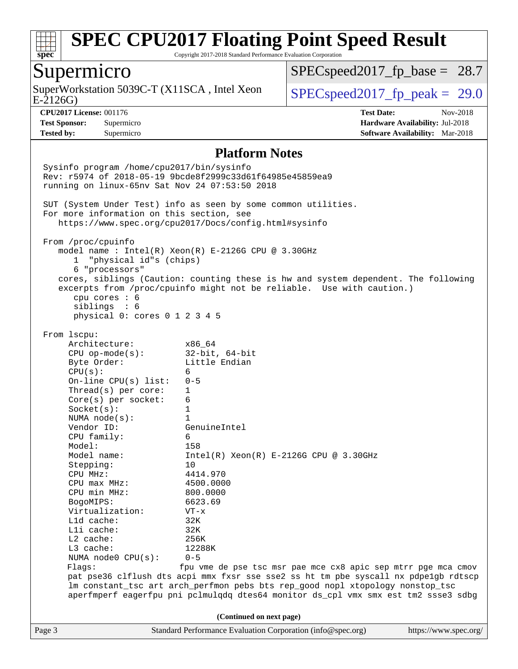

Copyright 2017-2018 Standard Performance Evaluation Corporation

### Supermicro

E-2126G) SuperWorkstation 5039C-T (X11SCA, Intel Xeon  $\big|$  [SPECspeed2017\\_fp\\_peak =](http://www.spec.org/auto/cpu2017/Docs/result-fields.html#SPECspeed2017fppeak) 29.0

 $SPECspeed2017<sub>fp</sub> base = 28.7$ 

**[Tested by:](http://www.spec.org/auto/cpu2017/Docs/result-fields.html#Testedby)** Supermicro **[Software Availability:](http://www.spec.org/auto/cpu2017/Docs/result-fields.html#SoftwareAvailability)** Mar-2018

**[CPU2017 License:](http://www.spec.org/auto/cpu2017/Docs/result-fields.html#CPU2017License)** 001176 **[Test Date:](http://www.spec.org/auto/cpu2017/Docs/result-fields.html#TestDate)** Nov-2018 **[Test Sponsor:](http://www.spec.org/auto/cpu2017/Docs/result-fields.html#TestSponsor)** Supermicro **[Hardware Availability:](http://www.spec.org/auto/cpu2017/Docs/result-fields.html#HardwareAvailability)** Jul-2018

#### **[Platform Notes](http://www.spec.org/auto/cpu2017/Docs/result-fields.html#PlatformNotes)**

Page 3 Standard Performance Evaluation Corporation [\(info@spec.org\)](mailto:info@spec.org) <https://www.spec.org/> Sysinfo program /home/cpu2017/bin/sysinfo Rev: r5974 of 2018-05-19 9bcde8f2999c33d61f64985e45859ea9 running on linux-65nv Sat Nov 24 07:53:50 2018 SUT (System Under Test) info as seen by some common utilities. For more information on this section, see <https://www.spec.org/cpu2017/Docs/config.html#sysinfo> From /proc/cpuinfo model name : Intel(R) Xeon(R) E-2126G CPU @ 3.30GHz 1 "physical id"s (chips) 6 "processors" cores, siblings (Caution: counting these is hw and system dependent. The following excerpts from /proc/cpuinfo might not be reliable. Use with caution.) cpu cores : 6 siblings : 6 physical 0: cores 0 1 2 3 4 5 From lscpu: Architecture: x86\_64 CPU op-mode(s): 32-bit, 64-bit Byte Order: Little Endian  $CPU(s):$  6 On-line CPU(s) list: 0-5 Thread(s) per core: 1 Core(s) per socket: 6 Socket(s): 1 NUMA node(s): 1 Vendor ID: GenuineIntel CPU family: 6 Model: 158<br>Model name: 1158  $Intel(R)$  Xeon(R) E-2126G CPU @ 3.30GHz Stepping: 10 CPU MHz: 4414.970 CPU max MHz: 4500.0000 CPU min MHz: 800.0000 BogoMIPS: 6623.69 Virtualization: VT-x L1d cache: 32K L1i cache: 32K L2 cache: 256K L3 cache: 12288K NUMA node0 CPU(s): 0-5 Flags: fpu vme de pse tsc msr pae mce cx8 apic sep mtrr pge mca cmov pat pse36 clflush dts acpi mmx fxsr sse sse2 ss ht tm pbe syscall nx pdpe1gb rdtscp lm constant\_tsc art arch\_perfmon pebs bts rep\_good nopl xtopology nonstop\_tsc aperfmperf eagerfpu pni pclmulqdq dtes64 monitor ds\_cpl vmx smx est tm2 ssse3 sdbg **(Continued on next page)**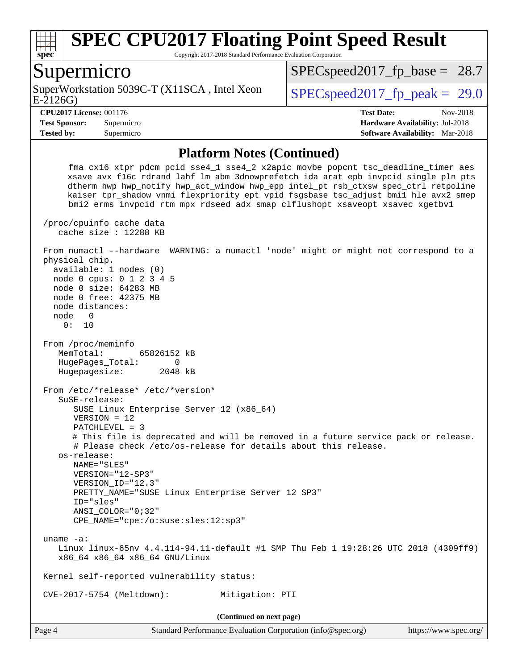

Copyright 2017-2018 Standard Performance Evaluation Corporation

#### Supermicro

E-2126G) SuperWorkstation 5039C-T (X11SCA, Intel Xeon  $\vert$  SPECspeed2017 fp\_peak = 29.0

 $SPECspeed2017<sub>fp</sub> base = 28.7$ 

**[Test Sponsor:](http://www.spec.org/auto/cpu2017/Docs/result-fields.html#TestSponsor)** Supermicro **[Hardware Availability:](http://www.spec.org/auto/cpu2017/Docs/result-fields.html#HardwareAvailability)** Jul-2018 **[Tested by:](http://www.spec.org/auto/cpu2017/Docs/result-fields.html#Testedby)** Supermicro **[Software Availability:](http://www.spec.org/auto/cpu2017/Docs/result-fields.html#SoftwareAvailability)** Mar-2018

**[CPU2017 License:](http://www.spec.org/auto/cpu2017/Docs/result-fields.html#CPU2017License)** 001176 **[Test Date:](http://www.spec.org/auto/cpu2017/Docs/result-fields.html#TestDate)** Nov-2018

#### **[Platform Notes \(Continued\)](http://www.spec.org/auto/cpu2017/Docs/result-fields.html#PlatformNotes)**

 fma cx16 xtpr pdcm pcid sse4\_1 sse4\_2 x2apic movbe popcnt tsc\_deadline\_timer aes xsave avx f16c rdrand lahf\_lm abm 3dnowprefetch ida arat epb invpcid\_single pln pts dtherm hwp hwp\_notify hwp\_act\_window hwp\_epp intel\_pt rsb\_ctxsw spec\_ctrl retpoline kaiser tpr\_shadow vnmi flexpriority ept vpid fsgsbase tsc\_adjust bmi1 hle avx2 smep bmi2 erms invpcid rtm mpx rdseed adx smap clflushopt xsaveopt xsavec xgetbv1 /proc/cpuinfo cache data cache size : 12288 KB From numactl --hardware WARNING: a numactl 'node' might or might not correspond to a physical chip. available: 1 nodes (0) node 0 cpus: 0 1 2 3 4 5 node 0 size: 64283 MB node 0 free: 42375 MB node distances: node 0 0: 10 From /proc/meminfo MemTotal: 65826152 kB HugePages\_Total: 0 Hugepagesize: 2048 kB From /etc/\*release\* /etc/\*version\* SuSE-release: SUSE Linux Enterprise Server 12 (x86\_64) VERSION = 12 PATCHLEVEL = 3 # This file is deprecated and will be removed in a future service pack or release. # Please check /etc/os-release for details about this release. os-release: NAME="SLES" VERSION="12-SP3" VERSION\_ID="12.3" PRETTY\_NAME="SUSE Linux Enterprise Server 12 SP3" ID="sles" ANSI\_COLOR="0;32" CPE\_NAME="cpe:/o:suse:sles:12:sp3" uname -a: Linux linux-65nv 4.4.114-94.11-default #1 SMP Thu Feb 1 19:28:26 UTC 2018 (4309ff9) x86\_64 x86\_64 x86\_64 GNU/Linux Kernel self-reported vulnerability status: CVE-2017-5754 (Meltdown): Mitigation: PTI **(Continued on next page)**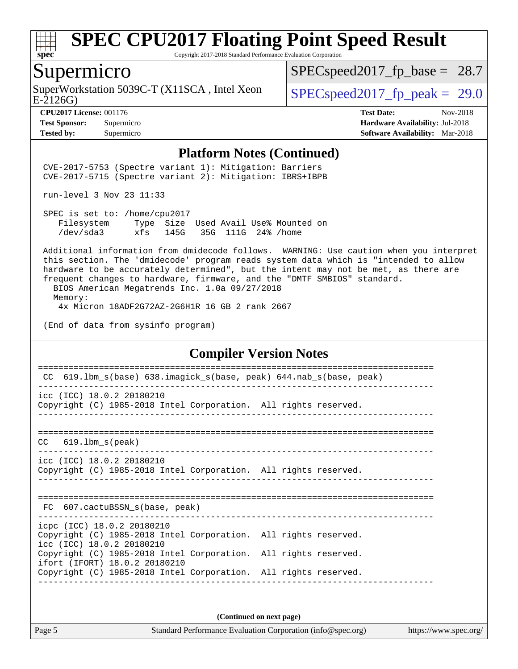

Copyright 2017-2018 Standard Performance Evaluation Corporation

## Supermicro

SuperWorkstation 5039C-T (X11SCA, Intel Xeon<br>E-2126G)

 $SPECspeed2017_fp\_base = 28.7$ 

**[Tested by:](http://www.spec.org/auto/cpu2017/Docs/result-fields.html#Testedby)** Supermicro **[Software Availability:](http://www.spec.org/auto/cpu2017/Docs/result-fields.html#SoftwareAvailability)** Mar-2018

 $SPECspeed2017_fp\_peak = 29.0$ 

**[CPU2017 License:](http://www.spec.org/auto/cpu2017/Docs/result-fields.html#CPU2017License)** 001176 **[Test Date:](http://www.spec.org/auto/cpu2017/Docs/result-fields.html#TestDate)** Nov-2018 **[Test Sponsor:](http://www.spec.org/auto/cpu2017/Docs/result-fields.html#TestSponsor)** Supermicro **[Hardware Availability:](http://www.spec.org/auto/cpu2017/Docs/result-fields.html#HardwareAvailability)** Jul-2018

#### **[Platform Notes \(Continued\)](http://www.spec.org/auto/cpu2017/Docs/result-fields.html#PlatformNotes)**

 CVE-2017-5753 (Spectre variant 1): Mitigation: Barriers CVE-2017-5715 (Spectre variant 2): Mitigation: IBRS+IBPB

run-level 3 Nov 23 11:33

 SPEC is set to: /home/cpu2017 Filesystem Type Size Used Avail Use% Mounted on /dev/sda3 xfs 145G 35G 111G 24% /home

 Additional information from dmidecode follows. WARNING: Use caution when you interpret this section. The 'dmidecode' program reads system data which is "intended to allow hardware to be accurately determined", but the intent may not be met, as there are frequent changes to hardware, firmware, and the "DMTF SMBIOS" standard.

 BIOS American Megatrends Inc. 1.0a 09/27/2018 Memory: 4x Micron 18ADF2G72AZ-2G6H1R 16 GB 2 rank 2667

(End of data from sysinfo program)

#### **[Compiler Version Notes](http://www.spec.org/auto/cpu2017/Docs/result-fields.html#CompilerVersionNotes)**

| 619.1bm_s(base) 638.imagick_s(base, peak) 644.nab_s(base, peak)<br>CC.                                                     |  |
|----------------------------------------------------------------------------------------------------------------------------|--|
| icc (ICC) 18.0.2 20180210<br>Copyright (C) 1985-2018 Intel Corporation. All rights reserved.                               |  |
| $CC$ 619.1bm $s$ (peak)                                                                                                    |  |
| icc (ICC) 18.0.2 20180210<br>Copyright (C) 1985-2018 Intel Corporation. All rights reserved.                               |  |
| FC 607. cactuBSSN s(base, peak)                                                                                            |  |
| icpc (ICC) 18.0.2 20180210<br>Copyright (C) 1985-2018 Intel Corporation. All rights reserved.<br>icc (ICC) 18.0.2 20180210 |  |
| Copyright (C) 1985-2018 Intel Corporation. All rights reserved.<br>ifort (IFORT) 18.0.2 20180210                           |  |
| Copyright (C) 1985-2018 Intel Corporation. All rights reserved.                                                            |  |
|                                                                                                                            |  |

**(Continued on next page)**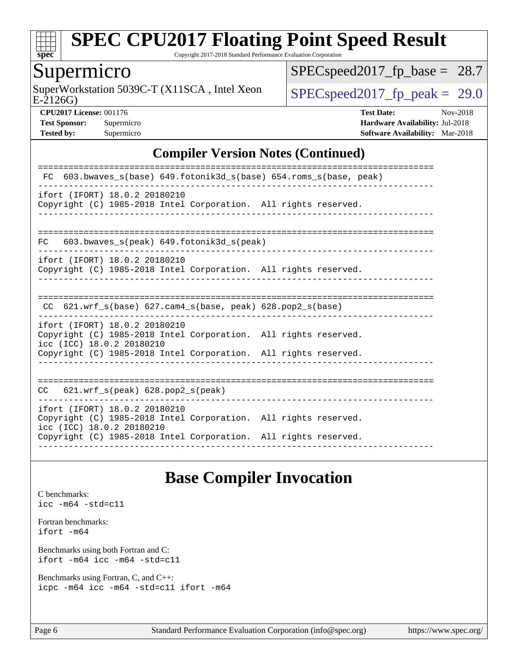

Copyright 2017-2018 Standard Performance Evaluation Corporation

## Supermicro

E-2126G) SuperWorkstation 5039C-T (X11SCA, Intel Xeon  $\big|$  [SPECspeed2017\\_fp\\_peak =](http://www.spec.org/auto/cpu2017/Docs/result-fields.html#SPECspeed2017fppeak) 29.0

[SPECspeed2017\\_fp\\_base =](http://www.spec.org/auto/cpu2017/Docs/result-fields.html#SPECspeed2017fpbase) 28.7

**[CPU2017 License:](http://www.spec.org/auto/cpu2017/Docs/result-fields.html#CPU2017License)** 001176 **[Test Date:](http://www.spec.org/auto/cpu2017/Docs/result-fields.html#TestDate)** Nov-2018 **[Test Sponsor:](http://www.spec.org/auto/cpu2017/Docs/result-fields.html#TestSponsor)** Supermicro **[Hardware Availability:](http://www.spec.org/auto/cpu2017/Docs/result-fields.html#HardwareAvailability)** Jul-2018 **[Tested by:](http://www.spec.org/auto/cpu2017/Docs/result-fields.html#Testedby)** Supermicro **[Software Availability:](http://www.spec.org/auto/cpu2017/Docs/result-fields.html#SoftwareAvailability)** Mar-2018

#### **[Compiler Version Notes \(Continued\)](http://www.spec.org/auto/cpu2017/Docs/result-fields.html#CompilerVersionNotes)**

| 603.bwaves s(base) 649.fotonik3d s(base) 654.roms s(base, peak)<br>FC.                                                                                                                           |
|--------------------------------------------------------------------------------------------------------------------------------------------------------------------------------------------------|
| ifort (IFORT) 18.0.2 20180210<br>Copyright (C) 1985-2018 Intel Corporation. All rights reserved.                                                                                                 |
| $603.bwaves$ s(peak) $649.fotonik3d$ s(peak)<br>FC.                                                                                                                                              |
| ifort (IFORT) 18.0.2 20180210<br>Copyright (C) 1985-2018 Intel Corporation. All rights reserved.                                                                                                 |
| 621.wrf s(base) 627.cam4 s(base, peak) 628.pop2 s(base)<br>CC.                                                                                                                                   |
| ifort (IFORT) 18.0.2 20180210<br>Copyright (C) 1985-2018 Intel Corporation. All rights reserved.<br>icc (ICC) 18.0.2 20180210<br>Copyright (C) 1985-2018 Intel Corporation. All rights reserved. |
| $621.wrf$ s(peak) $628.pop2$ s(peak)<br>CC                                                                                                                                                       |
| ifort (IFORT) 18.0.2 20180210<br>Copyright (C) 1985-2018 Intel Corporation. All rights reserved.<br>icc (ICC) 18.0.2 20180210<br>Copyright (C) 1985-2018 Intel Corporation. All rights reserved. |

### **[Base Compiler Invocation](http://www.spec.org/auto/cpu2017/Docs/result-fields.html#BaseCompilerInvocation)**

[C benchmarks](http://www.spec.org/auto/cpu2017/Docs/result-fields.html#Cbenchmarks): [icc -m64 -std=c11](http://www.spec.org/cpu2017/results/res2018q4/cpu2017-20181127-09967.flags.html#user_CCbase_intel_icc_64bit_c11_33ee0cdaae7deeeab2a9725423ba97205ce30f63b9926c2519791662299b76a0318f32ddfffdc46587804de3178b4f9328c46fa7c2b0cd779d7a61945c91cd35)

[Fortran benchmarks](http://www.spec.org/auto/cpu2017/Docs/result-fields.html#Fortranbenchmarks): [ifort -m64](http://www.spec.org/cpu2017/results/res2018q4/cpu2017-20181127-09967.flags.html#user_FCbase_intel_ifort_64bit_24f2bb282fbaeffd6157abe4f878425411749daecae9a33200eee2bee2fe76f3b89351d69a8130dd5949958ce389cf37ff59a95e7a40d588e8d3a57e0c3fd751)

[Benchmarks using both Fortran and C](http://www.spec.org/auto/cpu2017/Docs/result-fields.html#BenchmarksusingbothFortranandC): [ifort -m64](http://www.spec.org/cpu2017/results/res2018q4/cpu2017-20181127-09967.flags.html#user_CC_FCbase_intel_ifort_64bit_24f2bb282fbaeffd6157abe4f878425411749daecae9a33200eee2bee2fe76f3b89351d69a8130dd5949958ce389cf37ff59a95e7a40d588e8d3a57e0c3fd751) [icc -m64 -std=c11](http://www.spec.org/cpu2017/results/res2018q4/cpu2017-20181127-09967.flags.html#user_CC_FCbase_intel_icc_64bit_c11_33ee0cdaae7deeeab2a9725423ba97205ce30f63b9926c2519791662299b76a0318f32ddfffdc46587804de3178b4f9328c46fa7c2b0cd779d7a61945c91cd35)

[Benchmarks using Fortran, C, and C++:](http://www.spec.org/auto/cpu2017/Docs/result-fields.html#BenchmarksusingFortranCandCXX) [icpc -m64](http://www.spec.org/cpu2017/results/res2018q4/cpu2017-20181127-09967.flags.html#user_CC_CXX_FCbase_intel_icpc_64bit_4ecb2543ae3f1412ef961e0650ca070fec7b7afdcd6ed48761b84423119d1bf6bdf5cad15b44d48e7256388bc77273b966e5eb805aefd121eb22e9299b2ec9d9) [icc -m64 -std=c11](http://www.spec.org/cpu2017/results/res2018q4/cpu2017-20181127-09967.flags.html#user_CC_CXX_FCbase_intel_icc_64bit_c11_33ee0cdaae7deeeab2a9725423ba97205ce30f63b9926c2519791662299b76a0318f32ddfffdc46587804de3178b4f9328c46fa7c2b0cd779d7a61945c91cd35) [ifort -m64](http://www.spec.org/cpu2017/results/res2018q4/cpu2017-20181127-09967.flags.html#user_CC_CXX_FCbase_intel_ifort_64bit_24f2bb282fbaeffd6157abe4f878425411749daecae9a33200eee2bee2fe76f3b89351d69a8130dd5949958ce389cf37ff59a95e7a40d588e8d3a57e0c3fd751)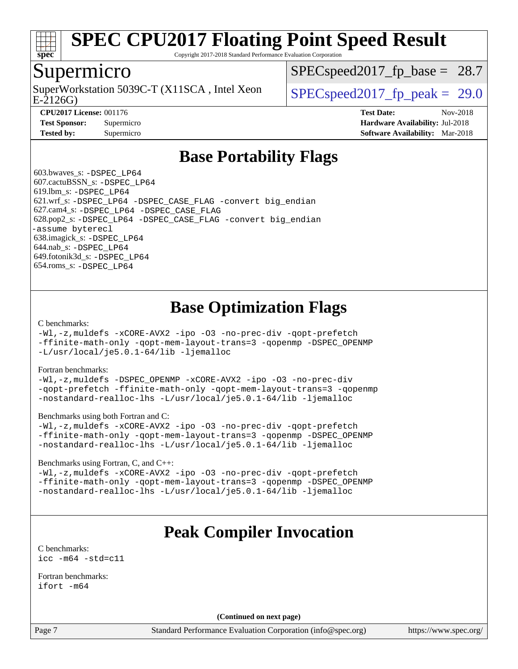

Copyright 2017-2018 Standard Performance Evaluation Corporation

### Supermicro

E-2126G) SuperWorkstation 5039C-T (X11SCA, Intel Xeon  $\vert$  SPECspeed2017 fp\_peak = 29.0

 $SPECspeed2017<sub>fp</sub> base = 28.7$ 

**[CPU2017 License:](http://www.spec.org/auto/cpu2017/Docs/result-fields.html#CPU2017License)** 001176 **[Test Date:](http://www.spec.org/auto/cpu2017/Docs/result-fields.html#TestDate)** Nov-2018 **[Test Sponsor:](http://www.spec.org/auto/cpu2017/Docs/result-fields.html#TestSponsor)** Supermicro **[Hardware Availability:](http://www.spec.org/auto/cpu2017/Docs/result-fields.html#HardwareAvailability)** Jul-2018 **[Tested by:](http://www.spec.org/auto/cpu2017/Docs/result-fields.html#Testedby)** Supermicro **[Software Availability:](http://www.spec.org/auto/cpu2017/Docs/result-fields.html#SoftwareAvailability)** Mar-2018

## **[Base Portability Flags](http://www.spec.org/auto/cpu2017/Docs/result-fields.html#BasePortabilityFlags)**

 603.bwaves\_s: [-DSPEC\\_LP64](http://www.spec.org/cpu2017/results/res2018q4/cpu2017-20181127-09967.flags.html#suite_basePORTABILITY603_bwaves_s_DSPEC_LP64) 607.cactuBSSN\_s: [-DSPEC\\_LP64](http://www.spec.org/cpu2017/results/res2018q4/cpu2017-20181127-09967.flags.html#suite_basePORTABILITY607_cactuBSSN_s_DSPEC_LP64) 619.lbm\_s: [-DSPEC\\_LP64](http://www.spec.org/cpu2017/results/res2018q4/cpu2017-20181127-09967.flags.html#suite_basePORTABILITY619_lbm_s_DSPEC_LP64) 621.wrf\_s: [-DSPEC\\_LP64](http://www.spec.org/cpu2017/results/res2018q4/cpu2017-20181127-09967.flags.html#suite_basePORTABILITY621_wrf_s_DSPEC_LP64) [-DSPEC\\_CASE\\_FLAG](http://www.spec.org/cpu2017/results/res2018q4/cpu2017-20181127-09967.flags.html#b621.wrf_s_baseCPORTABILITY_DSPEC_CASE_FLAG) [-convert big\\_endian](http://www.spec.org/cpu2017/results/res2018q4/cpu2017-20181127-09967.flags.html#user_baseFPORTABILITY621_wrf_s_convert_big_endian_c3194028bc08c63ac5d04de18c48ce6d347e4e562e8892b8bdbdc0214820426deb8554edfa529a3fb25a586e65a3d812c835984020483e7e73212c4d31a38223) 627.cam4\_s: [-DSPEC\\_LP64](http://www.spec.org/cpu2017/results/res2018q4/cpu2017-20181127-09967.flags.html#suite_basePORTABILITY627_cam4_s_DSPEC_LP64) [-DSPEC\\_CASE\\_FLAG](http://www.spec.org/cpu2017/results/res2018q4/cpu2017-20181127-09967.flags.html#b627.cam4_s_baseCPORTABILITY_DSPEC_CASE_FLAG) 628.pop2\_s: [-DSPEC\\_LP64](http://www.spec.org/cpu2017/results/res2018q4/cpu2017-20181127-09967.flags.html#suite_basePORTABILITY628_pop2_s_DSPEC_LP64) [-DSPEC\\_CASE\\_FLAG](http://www.spec.org/cpu2017/results/res2018q4/cpu2017-20181127-09967.flags.html#b628.pop2_s_baseCPORTABILITY_DSPEC_CASE_FLAG) [-convert big\\_endian](http://www.spec.org/cpu2017/results/res2018q4/cpu2017-20181127-09967.flags.html#user_baseFPORTABILITY628_pop2_s_convert_big_endian_c3194028bc08c63ac5d04de18c48ce6d347e4e562e8892b8bdbdc0214820426deb8554edfa529a3fb25a586e65a3d812c835984020483e7e73212c4d31a38223) [-assume byterecl](http://www.spec.org/cpu2017/results/res2018q4/cpu2017-20181127-09967.flags.html#user_baseFPORTABILITY628_pop2_s_assume_byterecl_7e47d18b9513cf18525430bbf0f2177aa9bf368bc7a059c09b2c06a34b53bd3447c950d3f8d6c70e3faf3a05c8557d66a5798b567902e8849adc142926523472) 638.imagick\_s: [-DSPEC\\_LP64](http://www.spec.org/cpu2017/results/res2018q4/cpu2017-20181127-09967.flags.html#suite_basePORTABILITY638_imagick_s_DSPEC_LP64) 644.nab\_s: [-DSPEC\\_LP64](http://www.spec.org/cpu2017/results/res2018q4/cpu2017-20181127-09967.flags.html#suite_basePORTABILITY644_nab_s_DSPEC_LP64) 649.fotonik3d\_s: [-DSPEC\\_LP64](http://www.spec.org/cpu2017/results/res2018q4/cpu2017-20181127-09967.flags.html#suite_basePORTABILITY649_fotonik3d_s_DSPEC_LP64) 654.roms\_s: [-DSPEC\\_LP64](http://www.spec.org/cpu2017/results/res2018q4/cpu2017-20181127-09967.flags.html#suite_basePORTABILITY654_roms_s_DSPEC_LP64)

## **[Base Optimization Flags](http://www.spec.org/auto/cpu2017/Docs/result-fields.html#BaseOptimizationFlags)**

[C benchmarks](http://www.spec.org/auto/cpu2017/Docs/result-fields.html#Cbenchmarks):

[-Wl,-z,muldefs](http://www.spec.org/cpu2017/results/res2018q4/cpu2017-20181127-09967.flags.html#user_CCbase_link_force_multiple1_b4cbdb97b34bdee9ceefcfe54f4c8ea74255f0b02a4b23e853cdb0e18eb4525ac79b5a88067c842dd0ee6996c24547a27a4b99331201badda8798ef8a743f577) [-xCORE-AVX2](http://www.spec.org/cpu2017/results/res2018q4/cpu2017-20181127-09967.flags.html#user_CCbase_f-xCORE-AVX2) [-ipo](http://www.spec.org/cpu2017/results/res2018q4/cpu2017-20181127-09967.flags.html#user_CCbase_f-ipo) [-O3](http://www.spec.org/cpu2017/results/res2018q4/cpu2017-20181127-09967.flags.html#user_CCbase_f-O3) [-no-prec-div](http://www.spec.org/cpu2017/results/res2018q4/cpu2017-20181127-09967.flags.html#user_CCbase_f-no-prec-div) [-qopt-prefetch](http://www.spec.org/cpu2017/results/res2018q4/cpu2017-20181127-09967.flags.html#user_CCbase_f-qopt-prefetch) [-ffinite-math-only](http://www.spec.org/cpu2017/results/res2018q4/cpu2017-20181127-09967.flags.html#user_CCbase_f_finite_math_only_cb91587bd2077682c4b38af759c288ed7c732db004271a9512da14a4f8007909a5f1427ecbf1a0fb78ff2a814402c6114ac565ca162485bbcae155b5e4258871) [-qopt-mem-layout-trans=3](http://www.spec.org/cpu2017/results/res2018q4/cpu2017-20181127-09967.flags.html#user_CCbase_f-qopt-mem-layout-trans_de80db37974c74b1f0e20d883f0b675c88c3b01e9d123adea9b28688d64333345fb62bc4a798493513fdb68f60282f9a726aa07f478b2f7113531aecce732043) [-qopenmp](http://www.spec.org/cpu2017/results/res2018q4/cpu2017-20181127-09967.flags.html#user_CCbase_qopenmp_16be0c44f24f464004c6784a7acb94aca937f053568ce72f94b139a11c7c168634a55f6653758ddd83bcf7b8463e8028bb0b48b77bcddc6b78d5d95bb1df2967) [-DSPEC\\_OPENMP](http://www.spec.org/cpu2017/results/res2018q4/cpu2017-20181127-09967.flags.html#suite_CCbase_DSPEC_OPENMP) [-L/usr/local/je5.0.1-64/lib](http://www.spec.org/cpu2017/results/res2018q4/cpu2017-20181127-09967.flags.html#user_CCbase_jemalloc_link_path64_4b10a636b7bce113509b17f3bd0d6226c5fb2346b9178c2d0232c14f04ab830f976640479e5c33dc2bcbbdad86ecfb6634cbbd4418746f06f368b512fced5394) [-ljemalloc](http://www.spec.org/cpu2017/results/res2018q4/cpu2017-20181127-09967.flags.html#user_CCbase_jemalloc_link_lib_d1249b907c500fa1c0672f44f562e3d0f79738ae9e3c4a9c376d49f265a04b9c99b167ecedbf6711b3085be911c67ff61f150a17b3472be731631ba4d0471706)

[Fortran benchmarks](http://www.spec.org/auto/cpu2017/Docs/result-fields.html#Fortranbenchmarks):

[-Wl,-z,muldefs](http://www.spec.org/cpu2017/results/res2018q4/cpu2017-20181127-09967.flags.html#user_FCbase_link_force_multiple1_b4cbdb97b34bdee9ceefcfe54f4c8ea74255f0b02a4b23e853cdb0e18eb4525ac79b5a88067c842dd0ee6996c24547a27a4b99331201badda8798ef8a743f577) [-DSPEC\\_OPENMP](http://www.spec.org/cpu2017/results/res2018q4/cpu2017-20181127-09967.flags.html#suite_FCbase_DSPEC_OPENMP) [-xCORE-AVX2](http://www.spec.org/cpu2017/results/res2018q4/cpu2017-20181127-09967.flags.html#user_FCbase_f-xCORE-AVX2) [-ipo](http://www.spec.org/cpu2017/results/res2018q4/cpu2017-20181127-09967.flags.html#user_FCbase_f-ipo) [-O3](http://www.spec.org/cpu2017/results/res2018q4/cpu2017-20181127-09967.flags.html#user_FCbase_f-O3) [-no-prec-div](http://www.spec.org/cpu2017/results/res2018q4/cpu2017-20181127-09967.flags.html#user_FCbase_f-no-prec-div) [-qopt-prefetch](http://www.spec.org/cpu2017/results/res2018q4/cpu2017-20181127-09967.flags.html#user_FCbase_f-qopt-prefetch) [-ffinite-math-only](http://www.spec.org/cpu2017/results/res2018q4/cpu2017-20181127-09967.flags.html#user_FCbase_f_finite_math_only_cb91587bd2077682c4b38af759c288ed7c732db004271a9512da14a4f8007909a5f1427ecbf1a0fb78ff2a814402c6114ac565ca162485bbcae155b5e4258871) [-qopt-mem-layout-trans=3](http://www.spec.org/cpu2017/results/res2018q4/cpu2017-20181127-09967.flags.html#user_FCbase_f-qopt-mem-layout-trans_de80db37974c74b1f0e20d883f0b675c88c3b01e9d123adea9b28688d64333345fb62bc4a798493513fdb68f60282f9a726aa07f478b2f7113531aecce732043) [-qopenmp](http://www.spec.org/cpu2017/results/res2018q4/cpu2017-20181127-09967.flags.html#user_FCbase_qopenmp_16be0c44f24f464004c6784a7acb94aca937f053568ce72f94b139a11c7c168634a55f6653758ddd83bcf7b8463e8028bb0b48b77bcddc6b78d5d95bb1df2967) [-nostandard-realloc-lhs](http://www.spec.org/cpu2017/results/res2018q4/cpu2017-20181127-09967.flags.html#user_FCbase_f_2003_std_realloc_82b4557e90729c0f113870c07e44d33d6f5a304b4f63d4c15d2d0f1fab99f5daaed73bdb9275d9ae411527f28b936061aa8b9c8f2d63842963b95c9dd6426b8a) [-L/usr/local/je5.0.1-64/lib](http://www.spec.org/cpu2017/results/res2018q4/cpu2017-20181127-09967.flags.html#user_FCbase_jemalloc_link_path64_4b10a636b7bce113509b17f3bd0d6226c5fb2346b9178c2d0232c14f04ab830f976640479e5c33dc2bcbbdad86ecfb6634cbbd4418746f06f368b512fced5394) [-ljemalloc](http://www.spec.org/cpu2017/results/res2018q4/cpu2017-20181127-09967.flags.html#user_FCbase_jemalloc_link_lib_d1249b907c500fa1c0672f44f562e3d0f79738ae9e3c4a9c376d49f265a04b9c99b167ecedbf6711b3085be911c67ff61f150a17b3472be731631ba4d0471706)

[Benchmarks using both Fortran and C](http://www.spec.org/auto/cpu2017/Docs/result-fields.html#BenchmarksusingbothFortranandC):

[-Wl,-z,muldefs](http://www.spec.org/cpu2017/results/res2018q4/cpu2017-20181127-09967.flags.html#user_CC_FCbase_link_force_multiple1_b4cbdb97b34bdee9ceefcfe54f4c8ea74255f0b02a4b23e853cdb0e18eb4525ac79b5a88067c842dd0ee6996c24547a27a4b99331201badda8798ef8a743f577) [-xCORE-AVX2](http://www.spec.org/cpu2017/results/res2018q4/cpu2017-20181127-09967.flags.html#user_CC_FCbase_f-xCORE-AVX2) [-ipo](http://www.spec.org/cpu2017/results/res2018q4/cpu2017-20181127-09967.flags.html#user_CC_FCbase_f-ipo) [-O3](http://www.spec.org/cpu2017/results/res2018q4/cpu2017-20181127-09967.flags.html#user_CC_FCbase_f-O3) [-no-prec-div](http://www.spec.org/cpu2017/results/res2018q4/cpu2017-20181127-09967.flags.html#user_CC_FCbase_f-no-prec-div) [-qopt-prefetch](http://www.spec.org/cpu2017/results/res2018q4/cpu2017-20181127-09967.flags.html#user_CC_FCbase_f-qopt-prefetch) [-ffinite-math-only](http://www.spec.org/cpu2017/results/res2018q4/cpu2017-20181127-09967.flags.html#user_CC_FCbase_f_finite_math_only_cb91587bd2077682c4b38af759c288ed7c732db004271a9512da14a4f8007909a5f1427ecbf1a0fb78ff2a814402c6114ac565ca162485bbcae155b5e4258871) [-qopt-mem-layout-trans=3](http://www.spec.org/cpu2017/results/res2018q4/cpu2017-20181127-09967.flags.html#user_CC_FCbase_f-qopt-mem-layout-trans_de80db37974c74b1f0e20d883f0b675c88c3b01e9d123adea9b28688d64333345fb62bc4a798493513fdb68f60282f9a726aa07f478b2f7113531aecce732043) [-qopenmp](http://www.spec.org/cpu2017/results/res2018q4/cpu2017-20181127-09967.flags.html#user_CC_FCbase_qopenmp_16be0c44f24f464004c6784a7acb94aca937f053568ce72f94b139a11c7c168634a55f6653758ddd83bcf7b8463e8028bb0b48b77bcddc6b78d5d95bb1df2967) [-DSPEC\\_OPENMP](http://www.spec.org/cpu2017/results/res2018q4/cpu2017-20181127-09967.flags.html#suite_CC_FCbase_DSPEC_OPENMP) [-nostandard-realloc-lhs](http://www.spec.org/cpu2017/results/res2018q4/cpu2017-20181127-09967.flags.html#user_CC_FCbase_f_2003_std_realloc_82b4557e90729c0f113870c07e44d33d6f5a304b4f63d4c15d2d0f1fab99f5daaed73bdb9275d9ae411527f28b936061aa8b9c8f2d63842963b95c9dd6426b8a) [-L/usr/local/je5.0.1-64/lib](http://www.spec.org/cpu2017/results/res2018q4/cpu2017-20181127-09967.flags.html#user_CC_FCbase_jemalloc_link_path64_4b10a636b7bce113509b17f3bd0d6226c5fb2346b9178c2d0232c14f04ab830f976640479e5c33dc2bcbbdad86ecfb6634cbbd4418746f06f368b512fced5394) [-ljemalloc](http://www.spec.org/cpu2017/results/res2018q4/cpu2017-20181127-09967.flags.html#user_CC_FCbase_jemalloc_link_lib_d1249b907c500fa1c0672f44f562e3d0f79738ae9e3c4a9c376d49f265a04b9c99b167ecedbf6711b3085be911c67ff61f150a17b3472be731631ba4d0471706)

#### [Benchmarks using Fortran, C, and C++:](http://www.spec.org/auto/cpu2017/Docs/result-fields.html#BenchmarksusingFortranCandCXX)

[-Wl,-z,muldefs](http://www.spec.org/cpu2017/results/res2018q4/cpu2017-20181127-09967.flags.html#user_CC_CXX_FCbase_link_force_multiple1_b4cbdb97b34bdee9ceefcfe54f4c8ea74255f0b02a4b23e853cdb0e18eb4525ac79b5a88067c842dd0ee6996c24547a27a4b99331201badda8798ef8a743f577) [-xCORE-AVX2](http://www.spec.org/cpu2017/results/res2018q4/cpu2017-20181127-09967.flags.html#user_CC_CXX_FCbase_f-xCORE-AVX2) [-ipo](http://www.spec.org/cpu2017/results/res2018q4/cpu2017-20181127-09967.flags.html#user_CC_CXX_FCbase_f-ipo) [-O3](http://www.spec.org/cpu2017/results/res2018q4/cpu2017-20181127-09967.flags.html#user_CC_CXX_FCbase_f-O3) [-no-prec-div](http://www.spec.org/cpu2017/results/res2018q4/cpu2017-20181127-09967.flags.html#user_CC_CXX_FCbase_f-no-prec-div) [-qopt-prefetch](http://www.spec.org/cpu2017/results/res2018q4/cpu2017-20181127-09967.flags.html#user_CC_CXX_FCbase_f-qopt-prefetch) [-ffinite-math-only](http://www.spec.org/cpu2017/results/res2018q4/cpu2017-20181127-09967.flags.html#user_CC_CXX_FCbase_f_finite_math_only_cb91587bd2077682c4b38af759c288ed7c732db004271a9512da14a4f8007909a5f1427ecbf1a0fb78ff2a814402c6114ac565ca162485bbcae155b5e4258871) [-qopt-mem-layout-trans=3](http://www.spec.org/cpu2017/results/res2018q4/cpu2017-20181127-09967.flags.html#user_CC_CXX_FCbase_f-qopt-mem-layout-trans_de80db37974c74b1f0e20d883f0b675c88c3b01e9d123adea9b28688d64333345fb62bc4a798493513fdb68f60282f9a726aa07f478b2f7113531aecce732043) [-qopenmp](http://www.spec.org/cpu2017/results/res2018q4/cpu2017-20181127-09967.flags.html#user_CC_CXX_FCbase_qopenmp_16be0c44f24f464004c6784a7acb94aca937f053568ce72f94b139a11c7c168634a55f6653758ddd83bcf7b8463e8028bb0b48b77bcddc6b78d5d95bb1df2967) [-DSPEC\\_OPENMP](http://www.spec.org/cpu2017/results/res2018q4/cpu2017-20181127-09967.flags.html#suite_CC_CXX_FCbase_DSPEC_OPENMP) [-nostandard-realloc-lhs](http://www.spec.org/cpu2017/results/res2018q4/cpu2017-20181127-09967.flags.html#user_CC_CXX_FCbase_f_2003_std_realloc_82b4557e90729c0f113870c07e44d33d6f5a304b4f63d4c15d2d0f1fab99f5daaed73bdb9275d9ae411527f28b936061aa8b9c8f2d63842963b95c9dd6426b8a) [-L/usr/local/je5.0.1-64/lib](http://www.spec.org/cpu2017/results/res2018q4/cpu2017-20181127-09967.flags.html#user_CC_CXX_FCbase_jemalloc_link_path64_4b10a636b7bce113509b17f3bd0d6226c5fb2346b9178c2d0232c14f04ab830f976640479e5c33dc2bcbbdad86ecfb6634cbbd4418746f06f368b512fced5394) [-ljemalloc](http://www.spec.org/cpu2017/results/res2018q4/cpu2017-20181127-09967.flags.html#user_CC_CXX_FCbase_jemalloc_link_lib_d1249b907c500fa1c0672f44f562e3d0f79738ae9e3c4a9c376d49f265a04b9c99b167ecedbf6711b3085be911c67ff61f150a17b3472be731631ba4d0471706)

## **[Peak Compiler Invocation](http://www.spec.org/auto/cpu2017/Docs/result-fields.html#PeakCompilerInvocation)**

[C benchmarks](http://www.spec.org/auto/cpu2017/Docs/result-fields.html#Cbenchmarks): [icc -m64 -std=c11](http://www.spec.org/cpu2017/results/res2018q4/cpu2017-20181127-09967.flags.html#user_CCpeak_intel_icc_64bit_c11_33ee0cdaae7deeeab2a9725423ba97205ce30f63b9926c2519791662299b76a0318f32ddfffdc46587804de3178b4f9328c46fa7c2b0cd779d7a61945c91cd35)

[Fortran benchmarks](http://www.spec.org/auto/cpu2017/Docs/result-fields.html#Fortranbenchmarks): [ifort -m64](http://www.spec.org/cpu2017/results/res2018q4/cpu2017-20181127-09967.flags.html#user_FCpeak_intel_ifort_64bit_24f2bb282fbaeffd6157abe4f878425411749daecae9a33200eee2bee2fe76f3b89351d69a8130dd5949958ce389cf37ff59a95e7a40d588e8d3a57e0c3fd751)

**(Continued on next page)**

Page 7 Standard Performance Evaluation Corporation [\(info@spec.org\)](mailto:info@spec.org) <https://www.spec.org/>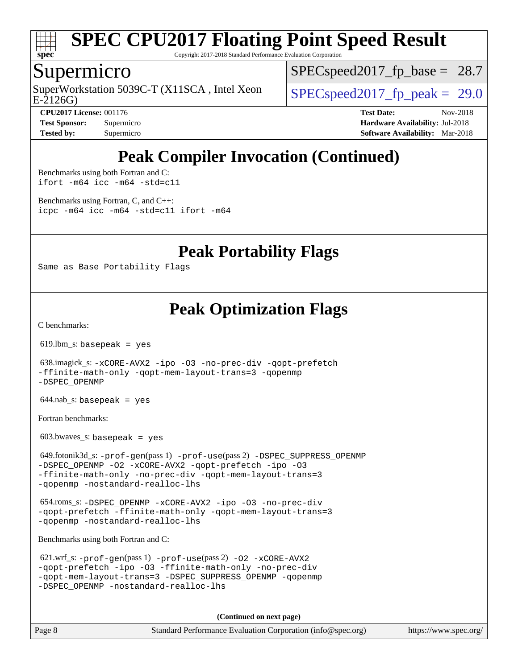

Copyright 2017-2018 Standard Performance Evaluation Corporation

### Supermicro

E-2126G) SuperWorkstation 5039C-T (X11SCA, Intel Xeon  $\vert$  SPECspeed2017 fp\_peak = 29.0

[SPECspeed2017\\_fp\\_base =](http://www.spec.org/auto/cpu2017/Docs/result-fields.html#SPECspeed2017fpbase)  $28.7$ 

**[CPU2017 License:](http://www.spec.org/auto/cpu2017/Docs/result-fields.html#CPU2017License)** 001176 **[Test Date:](http://www.spec.org/auto/cpu2017/Docs/result-fields.html#TestDate)** Nov-2018 **[Test Sponsor:](http://www.spec.org/auto/cpu2017/Docs/result-fields.html#TestSponsor)** Supermicro **[Hardware Availability:](http://www.spec.org/auto/cpu2017/Docs/result-fields.html#HardwareAvailability)** Jul-2018 **[Tested by:](http://www.spec.org/auto/cpu2017/Docs/result-fields.html#Testedby)** Supermicro **[Software Availability:](http://www.spec.org/auto/cpu2017/Docs/result-fields.html#SoftwareAvailability)** Mar-2018

# **[Peak Compiler Invocation \(Continued\)](http://www.spec.org/auto/cpu2017/Docs/result-fields.html#PeakCompilerInvocation)**

[Benchmarks using both Fortran and C](http://www.spec.org/auto/cpu2017/Docs/result-fields.html#BenchmarksusingbothFortranandC): [ifort -m64](http://www.spec.org/cpu2017/results/res2018q4/cpu2017-20181127-09967.flags.html#user_CC_FCpeak_intel_ifort_64bit_24f2bb282fbaeffd6157abe4f878425411749daecae9a33200eee2bee2fe76f3b89351d69a8130dd5949958ce389cf37ff59a95e7a40d588e8d3a57e0c3fd751) [icc -m64 -std=c11](http://www.spec.org/cpu2017/results/res2018q4/cpu2017-20181127-09967.flags.html#user_CC_FCpeak_intel_icc_64bit_c11_33ee0cdaae7deeeab2a9725423ba97205ce30f63b9926c2519791662299b76a0318f32ddfffdc46587804de3178b4f9328c46fa7c2b0cd779d7a61945c91cd35)

[Benchmarks using Fortran, C, and C++:](http://www.spec.org/auto/cpu2017/Docs/result-fields.html#BenchmarksusingFortranCandCXX) [icpc -m64](http://www.spec.org/cpu2017/results/res2018q4/cpu2017-20181127-09967.flags.html#user_CC_CXX_FCpeak_intel_icpc_64bit_4ecb2543ae3f1412ef961e0650ca070fec7b7afdcd6ed48761b84423119d1bf6bdf5cad15b44d48e7256388bc77273b966e5eb805aefd121eb22e9299b2ec9d9) [icc -m64 -std=c11](http://www.spec.org/cpu2017/results/res2018q4/cpu2017-20181127-09967.flags.html#user_CC_CXX_FCpeak_intel_icc_64bit_c11_33ee0cdaae7deeeab2a9725423ba97205ce30f63b9926c2519791662299b76a0318f32ddfffdc46587804de3178b4f9328c46fa7c2b0cd779d7a61945c91cd35) [ifort -m64](http://www.spec.org/cpu2017/results/res2018q4/cpu2017-20181127-09967.flags.html#user_CC_CXX_FCpeak_intel_ifort_64bit_24f2bb282fbaeffd6157abe4f878425411749daecae9a33200eee2bee2fe76f3b89351d69a8130dd5949958ce389cf37ff59a95e7a40d588e8d3a57e0c3fd751)

**[Peak Portability Flags](http://www.spec.org/auto/cpu2017/Docs/result-fields.html#PeakPortabilityFlags)**

Same as Base Portability Flags

## **[Peak Optimization Flags](http://www.spec.org/auto/cpu2017/Docs/result-fields.html#PeakOptimizationFlags)**

[C benchmarks](http://www.spec.org/auto/cpu2017/Docs/result-fields.html#Cbenchmarks):

619.lbm\_s: basepeak = yes

 638.imagick\_s: [-xCORE-AVX2](http://www.spec.org/cpu2017/results/res2018q4/cpu2017-20181127-09967.flags.html#user_peakCOPTIMIZE638_imagick_s_f-xCORE-AVX2) [-ipo](http://www.spec.org/cpu2017/results/res2018q4/cpu2017-20181127-09967.flags.html#user_peakCOPTIMIZE638_imagick_s_f-ipo) [-O3](http://www.spec.org/cpu2017/results/res2018q4/cpu2017-20181127-09967.flags.html#user_peakCOPTIMIZE638_imagick_s_f-O3) [-no-prec-div](http://www.spec.org/cpu2017/results/res2018q4/cpu2017-20181127-09967.flags.html#user_peakCOPTIMIZE638_imagick_s_f-no-prec-div) [-qopt-prefetch](http://www.spec.org/cpu2017/results/res2018q4/cpu2017-20181127-09967.flags.html#user_peakCOPTIMIZE638_imagick_s_f-qopt-prefetch) [-ffinite-math-only](http://www.spec.org/cpu2017/results/res2018q4/cpu2017-20181127-09967.flags.html#user_peakCOPTIMIZE638_imagick_s_f_finite_math_only_cb91587bd2077682c4b38af759c288ed7c732db004271a9512da14a4f8007909a5f1427ecbf1a0fb78ff2a814402c6114ac565ca162485bbcae155b5e4258871) [-qopt-mem-layout-trans=3](http://www.spec.org/cpu2017/results/res2018q4/cpu2017-20181127-09967.flags.html#user_peakCOPTIMIZE638_imagick_s_f-qopt-mem-layout-trans_de80db37974c74b1f0e20d883f0b675c88c3b01e9d123adea9b28688d64333345fb62bc4a798493513fdb68f60282f9a726aa07f478b2f7113531aecce732043) [-qopenmp](http://www.spec.org/cpu2017/results/res2018q4/cpu2017-20181127-09967.flags.html#user_peakCOPTIMIZE638_imagick_s_qopenmp_16be0c44f24f464004c6784a7acb94aca937f053568ce72f94b139a11c7c168634a55f6653758ddd83bcf7b8463e8028bb0b48b77bcddc6b78d5d95bb1df2967) [-DSPEC\\_OPENMP](http://www.spec.org/cpu2017/results/res2018q4/cpu2017-20181127-09967.flags.html#suite_peakCOPTIMIZE638_imagick_s_DSPEC_OPENMP)

644.nab\_s: basepeak = yes

[Fortran benchmarks](http://www.spec.org/auto/cpu2017/Docs/result-fields.html#Fortranbenchmarks):

 $603.bwaves$  s: basepeak = yes

 649.fotonik3d\_s: [-prof-gen](http://www.spec.org/cpu2017/results/res2018q4/cpu2017-20181127-09967.flags.html#user_peakPASS1_FFLAGSPASS1_LDFLAGS649_fotonik3d_s_prof_gen_5aa4926d6013ddb2a31985c654b3eb18169fc0c6952a63635c234f711e6e63dd76e94ad52365559451ec499a2cdb89e4dc58ba4c67ef54ca681ffbe1461d6b36)(pass 1) [-prof-use](http://www.spec.org/cpu2017/results/res2018q4/cpu2017-20181127-09967.flags.html#user_peakPASS2_FFLAGSPASS2_LDFLAGS649_fotonik3d_s_prof_use_1a21ceae95f36a2b53c25747139a6c16ca95bd9def2a207b4f0849963b97e94f5260e30a0c64f4bb623698870e679ca08317ef8150905d41bd88c6f78df73f19)(pass 2) [-DSPEC\\_SUPPRESS\\_OPENMP](http://www.spec.org/cpu2017/results/res2018q4/cpu2017-20181127-09967.flags.html#suite_peakPASS1_FOPTIMIZE649_fotonik3d_s_DSPEC_SUPPRESS_OPENMP) [-DSPEC\\_OPENMP](http://www.spec.org/cpu2017/results/res2018q4/cpu2017-20181127-09967.flags.html#suite_peakPASS2_FOPTIMIZE649_fotonik3d_s_DSPEC_OPENMP) [-O2](http://www.spec.org/cpu2017/results/res2018q4/cpu2017-20181127-09967.flags.html#user_peakPASS1_FOPTIMIZE649_fotonik3d_s_f-O2) [-xCORE-AVX2](http://www.spec.org/cpu2017/results/res2018q4/cpu2017-20181127-09967.flags.html#user_peakPASS2_FOPTIMIZE649_fotonik3d_s_f-xCORE-AVX2) [-qopt-prefetch](http://www.spec.org/cpu2017/results/res2018q4/cpu2017-20181127-09967.flags.html#user_peakPASS1_FOPTIMIZEPASS2_FOPTIMIZE649_fotonik3d_s_f-qopt-prefetch) [-ipo](http://www.spec.org/cpu2017/results/res2018q4/cpu2017-20181127-09967.flags.html#user_peakPASS2_FOPTIMIZE649_fotonik3d_s_f-ipo) [-O3](http://www.spec.org/cpu2017/results/res2018q4/cpu2017-20181127-09967.flags.html#user_peakPASS2_FOPTIMIZE649_fotonik3d_s_f-O3) [-ffinite-math-only](http://www.spec.org/cpu2017/results/res2018q4/cpu2017-20181127-09967.flags.html#user_peakPASS1_FOPTIMIZEPASS2_FOPTIMIZE649_fotonik3d_s_f_finite_math_only_cb91587bd2077682c4b38af759c288ed7c732db004271a9512da14a4f8007909a5f1427ecbf1a0fb78ff2a814402c6114ac565ca162485bbcae155b5e4258871) [-no-prec-div](http://www.spec.org/cpu2017/results/res2018q4/cpu2017-20181127-09967.flags.html#user_peakPASS2_FOPTIMIZE649_fotonik3d_s_f-no-prec-div) [-qopt-mem-layout-trans=3](http://www.spec.org/cpu2017/results/res2018q4/cpu2017-20181127-09967.flags.html#user_peakPASS1_FOPTIMIZEPASS2_FOPTIMIZE649_fotonik3d_s_f-qopt-mem-layout-trans_de80db37974c74b1f0e20d883f0b675c88c3b01e9d123adea9b28688d64333345fb62bc4a798493513fdb68f60282f9a726aa07f478b2f7113531aecce732043) [-qopenmp](http://www.spec.org/cpu2017/results/res2018q4/cpu2017-20181127-09967.flags.html#user_peakPASS2_FOPTIMIZE649_fotonik3d_s_qopenmp_16be0c44f24f464004c6784a7acb94aca937f053568ce72f94b139a11c7c168634a55f6653758ddd83bcf7b8463e8028bb0b48b77bcddc6b78d5d95bb1df2967) [-nostandard-realloc-lhs](http://www.spec.org/cpu2017/results/res2018q4/cpu2017-20181127-09967.flags.html#user_peakEXTRA_FOPTIMIZE649_fotonik3d_s_f_2003_std_realloc_82b4557e90729c0f113870c07e44d33d6f5a304b4f63d4c15d2d0f1fab99f5daaed73bdb9275d9ae411527f28b936061aa8b9c8f2d63842963b95c9dd6426b8a)

 654.roms\_s: [-DSPEC\\_OPENMP](http://www.spec.org/cpu2017/results/res2018q4/cpu2017-20181127-09967.flags.html#suite_peakFOPTIMIZE654_roms_s_DSPEC_OPENMP) [-xCORE-AVX2](http://www.spec.org/cpu2017/results/res2018q4/cpu2017-20181127-09967.flags.html#user_peakFOPTIMIZE654_roms_s_f-xCORE-AVX2) [-ipo](http://www.spec.org/cpu2017/results/res2018q4/cpu2017-20181127-09967.flags.html#user_peakFOPTIMIZE654_roms_s_f-ipo) [-O3](http://www.spec.org/cpu2017/results/res2018q4/cpu2017-20181127-09967.flags.html#user_peakFOPTIMIZE654_roms_s_f-O3) [-no-prec-div](http://www.spec.org/cpu2017/results/res2018q4/cpu2017-20181127-09967.flags.html#user_peakFOPTIMIZE654_roms_s_f-no-prec-div) [-qopt-prefetch](http://www.spec.org/cpu2017/results/res2018q4/cpu2017-20181127-09967.flags.html#user_peakFOPTIMIZE654_roms_s_f-qopt-prefetch) [-ffinite-math-only](http://www.spec.org/cpu2017/results/res2018q4/cpu2017-20181127-09967.flags.html#user_peakFOPTIMIZE654_roms_s_f_finite_math_only_cb91587bd2077682c4b38af759c288ed7c732db004271a9512da14a4f8007909a5f1427ecbf1a0fb78ff2a814402c6114ac565ca162485bbcae155b5e4258871) [-qopt-mem-layout-trans=3](http://www.spec.org/cpu2017/results/res2018q4/cpu2017-20181127-09967.flags.html#user_peakFOPTIMIZE654_roms_s_f-qopt-mem-layout-trans_de80db37974c74b1f0e20d883f0b675c88c3b01e9d123adea9b28688d64333345fb62bc4a798493513fdb68f60282f9a726aa07f478b2f7113531aecce732043) [-qopenmp](http://www.spec.org/cpu2017/results/res2018q4/cpu2017-20181127-09967.flags.html#user_peakFOPTIMIZE654_roms_s_qopenmp_16be0c44f24f464004c6784a7acb94aca937f053568ce72f94b139a11c7c168634a55f6653758ddd83bcf7b8463e8028bb0b48b77bcddc6b78d5d95bb1df2967) [-nostandard-realloc-lhs](http://www.spec.org/cpu2017/results/res2018q4/cpu2017-20181127-09967.flags.html#user_peakEXTRA_FOPTIMIZE654_roms_s_f_2003_std_realloc_82b4557e90729c0f113870c07e44d33d6f5a304b4f63d4c15d2d0f1fab99f5daaed73bdb9275d9ae411527f28b936061aa8b9c8f2d63842963b95c9dd6426b8a)

[Benchmarks using both Fortran and C](http://www.spec.org/auto/cpu2017/Docs/result-fields.html#BenchmarksusingbothFortranandC):

```
 621.wrf_s: -prof-gen(pass 1) -prof-use(pass 2) -O2 -xCORE-AVX2
-qopt-prefetch -ipo -O3 -ffinite-math-only -no-prec-div
-qopt-mem-layout-trans=3 -DSPEC_SUPPRESS_OPENMP -qopenmp
-DSPEC_OPENMP -nostandard-realloc-lhs
```
**(Continued on next page)**